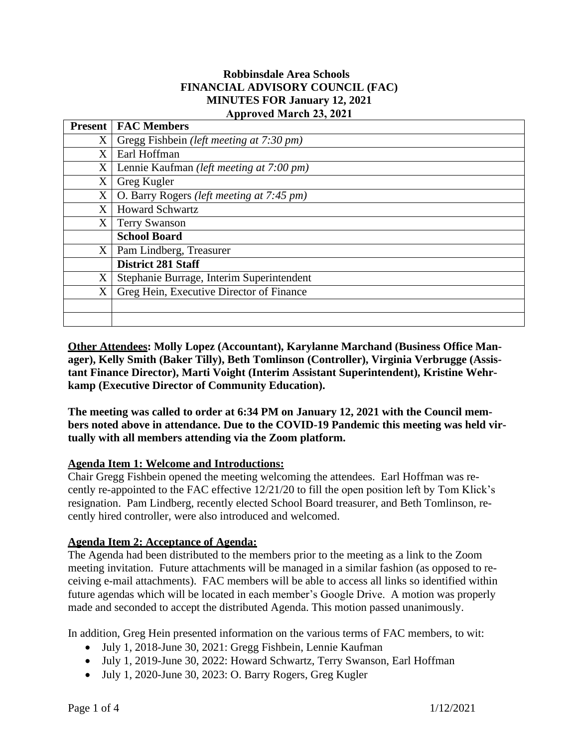#### **Robbinsdale Area Schools FINANCIAL ADVISORY COUNCIL (FAC) MINUTES FOR January 12, 2021 Approved March 23, 2021**

| <b>Present</b> | <b>FAC Members</b>                        |
|----------------|-------------------------------------------|
| X              | Gregg Fishbein (left meeting at 7:30 pm)  |
| X              | Earl Hoffman                              |
| X              | Lennie Kaufman (left meeting at 7:00 pm)  |
| X              | Greg Kugler                               |
| X              | O. Barry Rogers (left meeting at 7:45 pm) |
| X              | <b>Howard Schwartz</b>                    |
| X              | <b>Terry Swanson</b>                      |
|                | <b>School Board</b>                       |
| X              | Pam Lindberg, Treasurer                   |
|                | <b>District 281 Staff</b>                 |
| X              | Stephanie Burrage, Interim Superintendent |
| X              | Greg Hein, Executive Director of Finance  |
|                |                                           |
|                |                                           |

**Other Attendees: Molly Lopez (Accountant), Karylanne Marchand (Business Office Manager), Kelly Smith (Baker Tilly), Beth Tomlinson (Controller), Virginia Verbrugge (Assistant Finance Director), Marti Voight (Interim Assistant Superintendent), Kristine Wehrkamp (Executive Director of Community Education).**

**The meeting was called to order at 6:34 PM on January 12, 2021 with the Council members noted above in attendance. Due to the COVID-19 Pandemic this meeting was held virtually with all members attending via the Zoom platform.**

### **Agenda Item 1: Welcome and Introductions:**

Chair Gregg Fishbein opened the meeting welcoming the attendees. Earl Hoffman was recently re-appointed to the FAC effective 12/21/20 to fill the open position left by Tom Klick's resignation. Pam Lindberg, recently elected School Board treasurer, and Beth Tomlinson, recently hired controller, were also introduced and welcomed.

### **Agenda Item 2: Acceptance of Agenda:**

The Agenda had been distributed to the members prior to the meeting as a link to the Zoom meeting invitation. Future attachments will be managed in a similar fashion (as opposed to receiving e-mail attachments). FAC members will be able to access all links so identified within future agendas which will be located in each member's Google Drive. A motion was properly made and seconded to accept the distributed Agenda. This motion passed unanimously.

In addition, Greg Hein presented information on the various terms of FAC members, to wit:

- July 1, 2018-June 30, 2021: Gregg Fishbein, Lennie Kaufman
- July 1, 2019-June 30, 2022: Howard Schwartz, Terry Swanson, Earl Hoffman
- July 1, 2020-June 30, 2023: O. Barry Rogers, Greg Kugler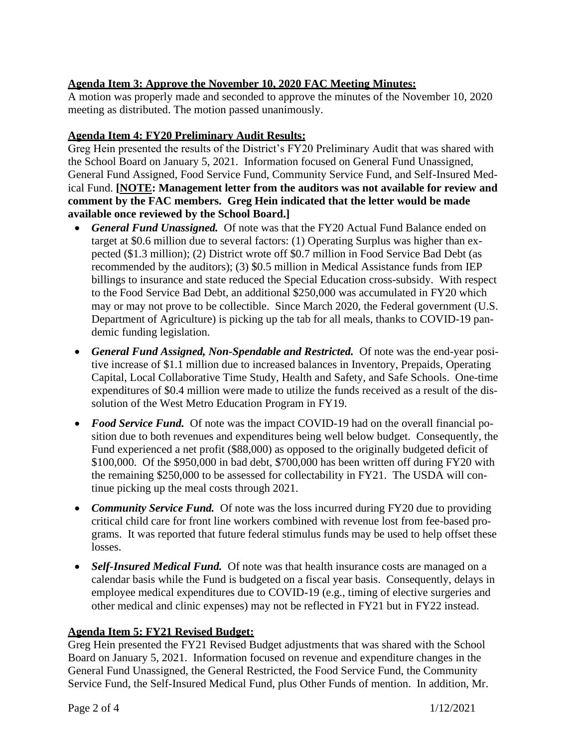## **Agenda Item 3: Approve the November 10, 2020 FAC Meeting Minutes:**

A motion was properly made and seconded to approve the minutes of the November 10, 2020 meeting as distributed. The motion passed unanimously.

### **Agenda Item 4: FY20 Preliminary Audit Results:**

Greg Hein presented the results of the District's FY20 Preliminary Audit that was shared with the School Board on January 5, 2021. Information focused on General Fund Unassigned, General Fund Assigned, Food Service Fund, Community Service Fund, and Self-Insured Medical Fund. **[NOTE: Management letter from the auditors was not available for review and comment by the FAC members. Greg Hein indicated that the letter would be made available once reviewed by the School Board.]**

- *General Fund Unassigned.* Of note was that the FY20 Actual Fund Balance ended on target at \$0.6 million due to several factors: (1) Operating Surplus was higher than expected (\$1.3 million); (2) District wrote off \$0.7 million in Food Service Bad Debt (as recommended by the auditors); (3) \$0.5 million in Medical Assistance funds from IEP billings to insurance and state reduced the Special Education cross-subsidy. With respect to the Food Service Bad Debt, an additional \$250,000 was accumulated in FY20 which may or may not prove to be collectible. Since March 2020, the Federal government (U.S. Department of Agriculture) is picking up the tab for all meals, thanks to COVID-19 pandemic funding legislation.
- *General Fund Assigned, Non-Spendable and Restricted.* Of note was the end-year positive increase of \$1.1 million due to increased balances in Inventory, Prepaids, Operating Capital, Local Collaborative Time Study, Health and Safety, and Safe Schools. One-time expenditures of \$0.4 million were made to utilize the funds received as a result of the dissolution of the West Metro Education Program in FY19.
- *Food Service Fund.* Of note was the impact COVID-19 had on the overall financial position due to both revenues and expenditures being well below budget. Consequently, the Fund experienced a net profit (\$88,000) as opposed to the originally budgeted deficit of \$100,000. Of the \$950,000 in bad debt, \$700,000 has been written off during FY20 with the remaining \$250,000 to be assessed for collectability in FY21. The USDA will continue picking up the meal costs through 2021.
- *Community Service Fund.* Of note was the loss incurred during FY20 due to providing critical child care for front line workers combined with revenue lost from fee-based programs. It was reported that future federal stimulus funds may be used to help offset these losses.
- *Self-Insured Medical Fund.* Of note was that health insurance costs are managed on a calendar basis while the Fund is budgeted on a fiscal year basis. Consequently, delays in employee medical expenditures due to COVID-19 (e.g., timing of elective surgeries and other medical and clinic expenses) may not be reflected in FY21 but in FY22 instead.

# **Agenda Item 5: FY21 Revised Budget:**

Greg Hein presented the FY21 Revised Budget adjustments that was shared with the School Board on January 5, 2021. Information focused on revenue and expenditure changes in the General Fund Unassigned, the General Restricted, the Food Service Fund, the Community Service Fund, the Self-Insured Medical Fund, plus Other Funds of mention. In addition, Mr.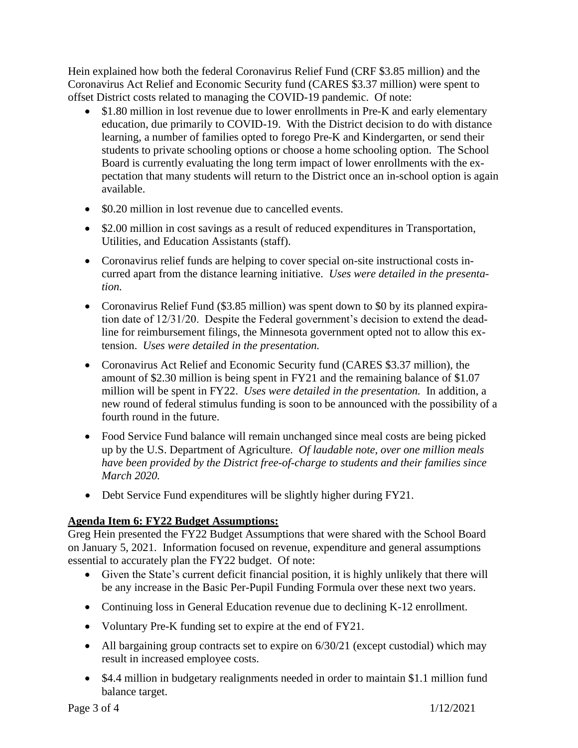Hein explained how both the federal Coronavirus Relief Fund (CRF \$3.85 million) and the Coronavirus Act Relief and Economic Security fund (CARES \$3.37 million) were spent to offset District costs related to managing the COVID-19 pandemic. Of note:

- \$1.80 million in lost revenue due to lower enrollments in Pre-K and early elementary education, due primarily to COVID-19. With the District decision to do with distance learning, a number of families opted to forego Pre-K and Kindergarten, or send their students to private schooling options or choose a home schooling option. The School Board is currently evaluating the long term impact of lower enrollments with the expectation that many students will return to the District once an in-school option is again available.
- \$0.20 million in lost revenue due to cancelled events.
- \$2.00 million in cost savings as a result of reduced expenditures in Transportation, Utilities, and Education Assistants (staff).
- Coronavirus relief funds are helping to cover special on-site instructional costs incurred apart from the distance learning initiative. *Uses were detailed in the presentation.*
- Coronavirus Relief Fund (\$3.85 million) was spent down to \$0 by its planned expiration date of 12/31/20. Despite the Federal government's decision to extend the deadline for reimbursement filings, the Minnesota government opted not to allow this extension. *Uses were detailed in the presentation.*
- Coronavirus Act Relief and Economic Security fund (CARES \$3.37 million), the amount of \$2.30 million is being spent in FY21 and the remaining balance of \$1.07 million will be spent in FY22. *Uses were detailed in the presentation.* In addition, a new round of federal stimulus funding is soon to be announced with the possibility of a fourth round in the future.
- Food Service Fund balance will remain unchanged since meal costs are being picked up by the U.S. Department of Agriculture. *Of laudable note, over one million meals have been provided by the District free-of-charge to students and their families since March 2020.*
- Debt Service Fund expenditures will be slightly higher during FY21.

### **Agenda Item 6: FY22 Budget Assumptions:**

Greg Hein presented the FY22 Budget Assumptions that were shared with the School Board on January 5, 2021. Information focused on revenue, expenditure and general assumptions essential to accurately plan the FY22 budget. Of note:

- Given the State's current deficit financial position, it is highly unlikely that there will be any increase in the Basic Per-Pupil Funding Formula over these next two years.
- Continuing loss in General Education revenue due to declining K-12 enrollment.
- Voluntary Pre-K funding set to expire at the end of FY21.
- All bargaining group contracts set to expire on  $6/30/21$  (except custodial) which may result in increased employee costs.
- \$4.4 million in budgetary realignments needed in order to maintain \$1.1 million fund balance target.